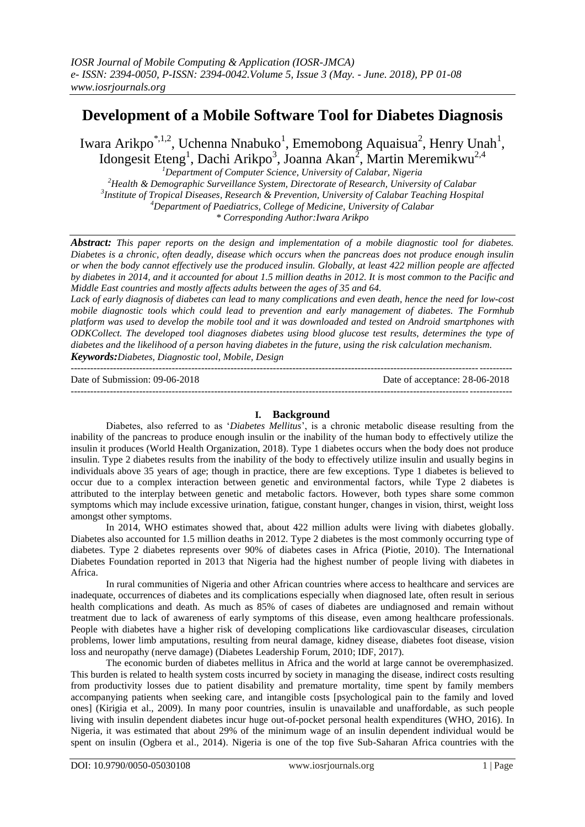# **Development of a Mobile Software Tool for Diabetes Diagnosis**

Iwara Arikpo<sup>\*,1,2</sup>, Uchenna Nnabuko<sup>1</sup>, Ememobong Aquaisua<sup>2</sup>, Henry Unah<sup>1</sup>, Idongesit Eteng<sup>1</sup>, Dachi Arikpo<sup>3</sup>, Joanna Akan<sup>2</sup>, Martin Meremikwu<sup>2,4</sup>

*Department of Computer Science, University of Calabar, Nigeria Health & Demographic Surveillance System, Directorate of Research, University of Calabar Institute of Tropical Diseases, Research & Prevention, University of Calabar Teaching Hospital Department of Paediatrics, College of Medicine, University of Calabar \* Corresponding Author:Iwara Arikpo*

*Abstract: This paper reports on the design and implementation of a mobile diagnostic tool for diabetes. Diabetes is a chronic, often deadly, disease which occurs when the pancreas does not produce enough insulin or when the body cannot effectively use the produced insulin. Globally, at least 422 million people are affected by diabetes in 2014, and it accounted for about 1.5 million deaths in 2012. It is most common to the Pacific and Middle East countries and mostly affects adults between the ages of 35 and 64.*

*Lack of early diagnosis of diabetes can lead to many complications and even death, hence the need for low-cost mobile diagnostic tools which could lead to prevention and early management of diabetes. The Formhub platform was used to develop the mobile tool and it was downloaded and tested on Android smartphones with ODKCollect. The developed tool diagnoses diabetes using blood glucose test results, determines the type of diabetes and the likelihood of a person having diabetes in the future, using the risk calculation mechanism. Keywords:Diabetes, Diagnostic tool, Mobile, Design*

---------------------------------------------------------------------------------------------------------------------------------------

Date of Submission: 09-06-2018 Date of acceptance: 28-06-2018 ---------------------------------------------------------------------------------------------------------------------------------------

## **I. Background**

Diabetes, also referred to as "*Diabetes Mellitus*", is a chronic metabolic disease resulting from the inability of the pancreas to produce enough insulin or the inability of the human body to effectively utilize the insulin it produces (World Health Organization, 2018). Type 1 diabetes occurs when the body does not produce insulin. Type 2 diabetes results from the inability of the body to effectively utilize insulin and usually begins in individuals above 35 years of age; though in practice, there are few exceptions. Type 1 diabetes is believed to occur due to a complex interaction between genetic and environmental factors, while Type 2 diabetes is attributed to the interplay between genetic and metabolic factors. However, both types share some common symptoms which may include excessive urination, fatigue, constant hunger, changes in vision, thirst, weight loss amongst other symptoms.

In 2014, WHO estimates showed that, about 422 million adults were living with diabetes globally. Diabetes also accounted for 1.5 million deaths in 2012. Type 2 diabetes is the most commonly occurring type of diabetes. Type 2 diabetes represents over 90% of diabetes cases in Africa (Piotie, 2010). The International Diabetes Foundation reported in 2013 that Nigeria had the highest number of people living with diabetes in Africa.

In rural communities of Nigeria and other African countries where access to healthcare and services are inadequate, occurrences of diabetes and its complications especially when diagnosed late, often result in serious health complications and death. As much as 85% of cases of diabetes are undiagnosed and remain without treatment due to lack of awareness of early symptoms of this disease, even among healthcare professionals. People with diabetes have a higher risk of developing complications like cardiovascular diseases, circulation problems, lower limb amputations, resulting from neural damage, kidney disease, diabetes foot disease, vision loss and neuropathy (nerve damage) (Diabetes Leadership Forum, 2010; IDF, 2017).

The economic burden of diabetes mellitus in Africa and the world at large cannot be overemphasized. This burden is related to health system costs incurred by society in managing the disease, indirect costs resulting from productivity losses due to patient disability and premature mortality, time spent by family members accompanying patients when seeking care, and intangible costs [psychological pain to the family and loved ones] (Kirigia et al., 2009). In many poor countries, insulin is unavailable and unaffordable, as such people living with insulin dependent diabetes incur huge out-of-pocket personal health expenditures (WHO, 2016). In Nigeria, it was estimated that about 29% of the minimum wage of an insulin dependent individual would be spent on insulin (Ogbera et al., 2014). Nigeria is one of the top five Sub-Saharan Africa countries with the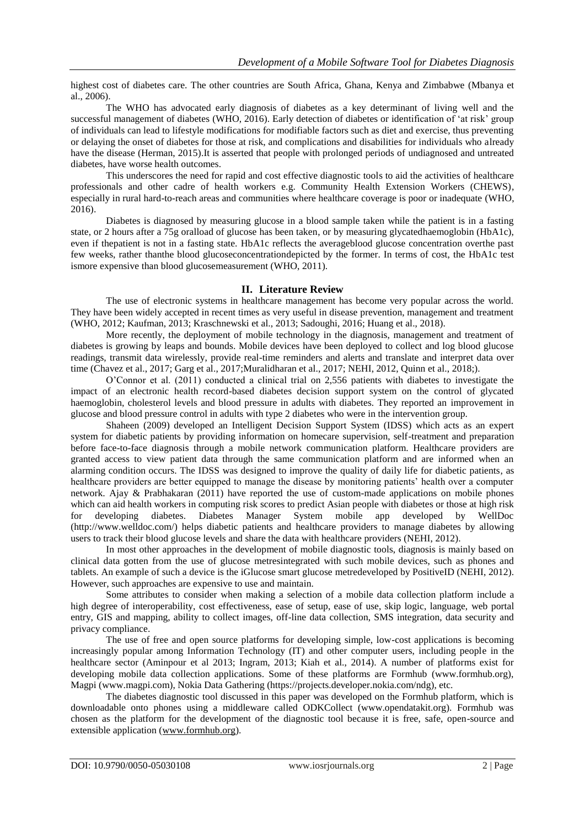highest cost of diabetes care. The other countries are South Africa, Ghana, Kenya and Zimbabwe (Mbanya et al., 2006).

The WHO has advocated early diagnosis of diabetes as a key determinant of living well and the successful management of diabetes (WHO, 2016). Early detection of diabetes or identification of "at risk" group of individuals can lead to lifestyle modifications for modifiable factors such as diet and exercise, thus preventing or delaying the onset of diabetes for those at risk, and complications and disabilities for individuals who already have the disease (Herman, 2015).It is asserted that people with prolonged periods of undiagnosed and untreated diabetes, have worse health outcomes.

This underscores the need for rapid and cost effective diagnostic tools to aid the activities of healthcare professionals and other cadre of health workers e.g. Community Health Extension Workers (CHEWS), especially in rural hard-to-reach areas and communities where healthcare coverage is poor or inadequate (WHO, 2016).

Diabetes is diagnosed by measuring glucose in a blood sample taken while the patient is in a fasting state, or 2 hours after a 75g oralload of glucose has been taken, or by measuring glycatedhaemoglobin (HbA1c), even if thepatient is not in a fasting state. HbA1c reflects the averageblood glucose concentration overthe past few weeks, rather thanthe blood glucoseconcentrationdepicted by the former. In terms of cost, the HbA1c test ismore expensive than blood glucosemeasurement (WHO, 2011).

## **II. Literature Review**

The use of electronic systems in healthcare management has become very popular across the world. They have been widely accepted in recent times as very useful in disease prevention, management and treatment (WHO, 2012; Kaufman, 2013; Kraschnewski et al., 2013; Sadoughi, 2016; Huang et al., 2018).

More recently, the deployment of mobile technology in the diagnosis, management and treatment of diabetes is growing by leaps and bounds. Mobile devices have been deployed to collect and log blood glucose readings, transmit data wirelessly, provide real-time reminders and alerts and translate and interpret data over time (Chavez et al., 2017; Garg et al., 2017;Muralidharan et al., 2017; NEHI, 2012, Quinn et al., 2018;).

O"Connor et al. (2011) conducted a clinical trial on 2,556 patients with diabetes to investigate the impact of an electronic health record-based diabetes decision support system on the control of glycated haemoglobin, cholesterol levels and blood pressure in adults with diabetes. They reported an improvement in glucose and blood pressure control in adults with type 2 diabetes who were in the intervention group.

Shaheen (2009) developed an Intelligent Decision Support System (IDSS) which acts as an expert system for diabetic patients by providing information on homecare supervision, self-treatment and preparation before face-to-face diagnosis through a mobile network communication platform. Healthcare providers are granted access to view patient data through the same communication platform and are informed when an alarming condition occurs. The IDSS was designed to improve the quality of daily life for diabetic patients, as healthcare providers are better equipped to manage the disease by monitoring patients" health over a computer network. Ajay & Prabhakaran (2011) have reported the use of custom-made applications on mobile phones which can aid health workers in computing risk scores to predict Asian people with diabetes or those at high risk for developing diabetes. Diabetes Manager System mobile app developed by WellDoc (http://www.welldoc.com/) helps diabetic patients and healthcare providers to manage diabetes by allowing users to track their blood glucose levels and share the data with healthcare providers (NEHI, 2012).

In most other approaches in the development of mobile diagnostic tools, diagnosis is mainly based on clinical data gotten from the use of glucose metresintegrated with such mobile devices, such as phones and tablets. An example of such a device is the iGlucose smart glucose metredeveloped by PositiveID (NEHI, 2012). However, such approaches are expensive to use and maintain.

Some attributes to consider when making a selection of a mobile data collection platform include a high degree of interoperability, cost effectiveness, ease of setup, ease of use, skip logic, language, web portal entry, GIS and mapping, ability to collect images, off-line data collection, SMS integration, data security and privacy compliance.

The use of free and open source platforms for developing simple, low-cost applications is becoming increasingly popular among Information Technology (IT) and other computer users, including people in the healthcare sector (Aminpour et al 2013; Ingram, 2013; Kiah et al., 2014). A number of platforms exist for developing mobile data collection applications. Some of these platforms are Formhub (www.formhub.org), Magpi (www.magpi.com), Nokia Data Gathering (https://projects.developer.nokia.com/ndg), etc.

The diabetes diagnostic tool discussed in this paper was developed on the Formhub platform, which is downloadable onto phones using a middleware called ODKCollect (www.opendatakit.org). Formhub was chosen as the platform for the development of the diagnostic tool because it is free, safe, open-source and extensible application [\(www.formhub.org\)](http://www.formhub.org/).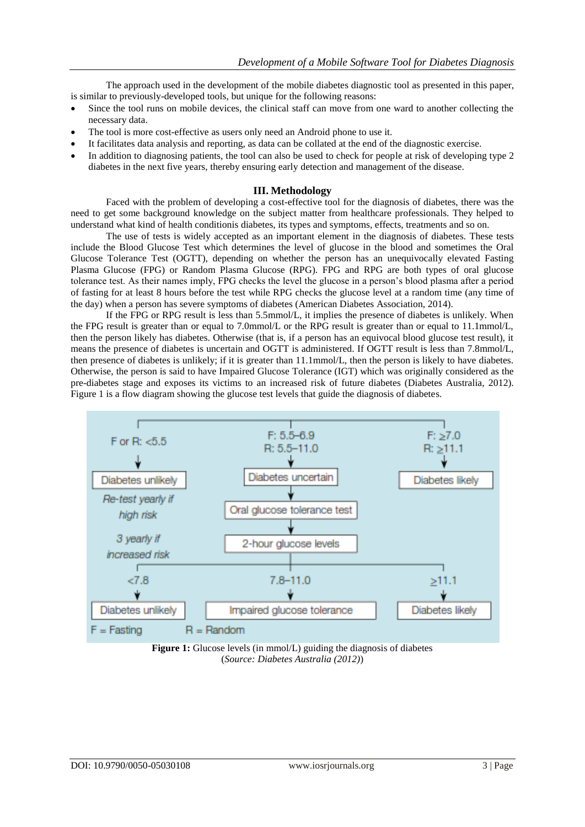The approach used in the development of the mobile diabetes diagnostic tool as presented in this paper, is similar to previously-developed tools, but unique for the following reasons:

- Since the tool runs on mobile devices, the clinical staff can move from one ward to another collecting the necessary data.
- The tool is more cost-effective as users only need an Android phone to use it.
- It facilitates data analysis and reporting, as data can be collated at the end of the diagnostic exercise.
- In addition to diagnosing patients, the tool can also be used to check for people at risk of developing type 2 diabetes in the next five years, thereby ensuring early detection and management of the disease.

# **III. Methodology**

Faced with the problem of developing a cost-effective tool for the diagnosis of diabetes, there was the need to get some background knowledge on the subject matter from healthcare professionals. They helped to understand what kind of health conditionis diabetes, its types and symptoms, effects, treatments and so on.

The use of tests is widely accepted as an important element in the diagnosis of diabetes. These tests include the Blood Glucose Test which determines the level of glucose in the blood and sometimes the Oral Glucose Tolerance Test (OGTT), depending on whether the person has an unequivocally elevated Fasting Plasma Glucose (FPG) or Random Plasma Glucose (RPG). FPG and RPG are both types of oral glucose tolerance test. As their names imply, FPG checks the level the glucose in a person"s blood plasma after a period of fasting for at least 8 hours before the test while RPG checks the glucose level at a random time (any time of the day) when a person has severe symptoms of diabetes (American Diabetes Association, 2014).

If the FPG or RPG result is less than 5.5mmol/L, it implies the presence of diabetes is unlikely. When the FPG result is greater than or equal to 7.0mmol/L or the RPG result is greater than or equal to 11.1mmol/L, then the person likely has diabetes. Otherwise (that is, if a person has an equivocal blood glucose test result), it means the presence of diabetes is uncertain and OGTT is administered. If OGTT result is less than 7.8mmol/L, then presence of diabetes is unlikely; if it is greater than 11.1mmol/L, then the person is likely to have diabetes. Otherwise, the person is said to have Impaired Glucose Tolerance (IGT) which was originally considered as the pre-diabetes stage and exposes its victims to an increased risk of future diabetes (Diabetes Australia, 2012). Figure 1 is a flow diagram showing the glucose test levels that guide the diagnosis of diabetes.



**Figure 1:** Glucose levels (in mmol/L) guiding the diagnosis of diabetes (*Source: Diabetes Australia (2012)*)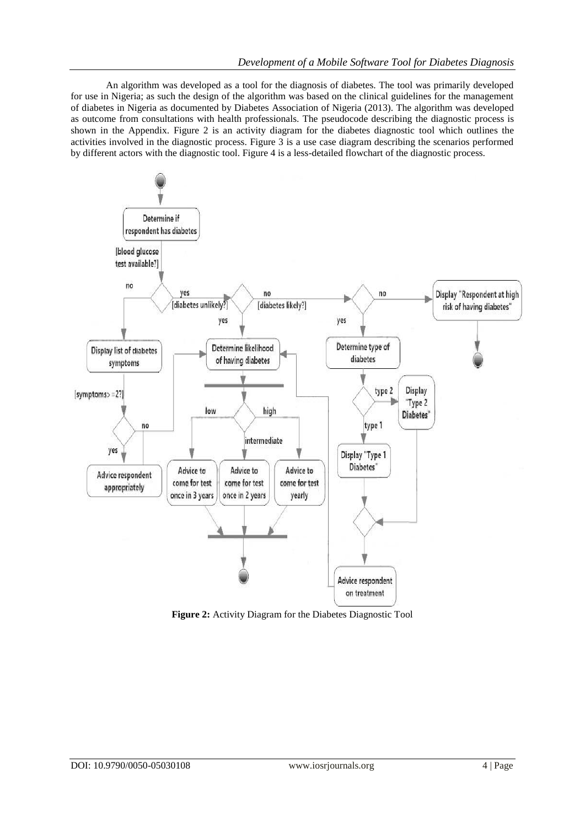An algorithm was developed as a tool for the diagnosis of diabetes. The tool was primarily developed for use in Nigeria; as such the design of the algorithm was based on the clinical guidelines for the management of diabetes in Nigeria as documented by Diabetes Association of Nigeria (2013). The algorithm was developed as outcome from consultations with health professionals. The pseudocode describing the diagnostic process is shown in the Appendix. Figure 2 is an activity diagram for the diabetes diagnostic tool which outlines the activities involved in the diagnostic process. Figure 3 is a use case diagram describing the scenarios performed by different actors with the diagnostic tool. Figure 4 is a less-detailed flowchart of the diagnostic process.



**Figure 2:** Activity Diagram for the Diabetes Diagnostic Tool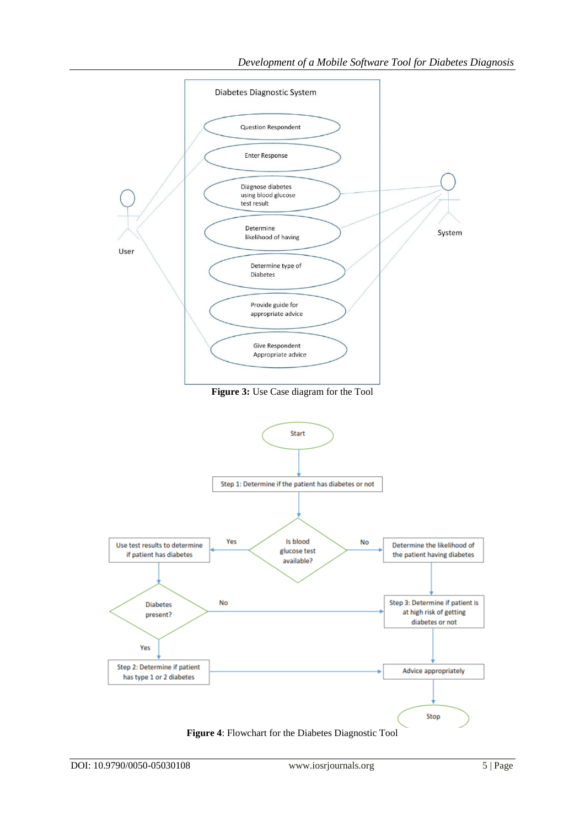

**Figure 4**: Flowchart for the Diabetes Diagnostic Tool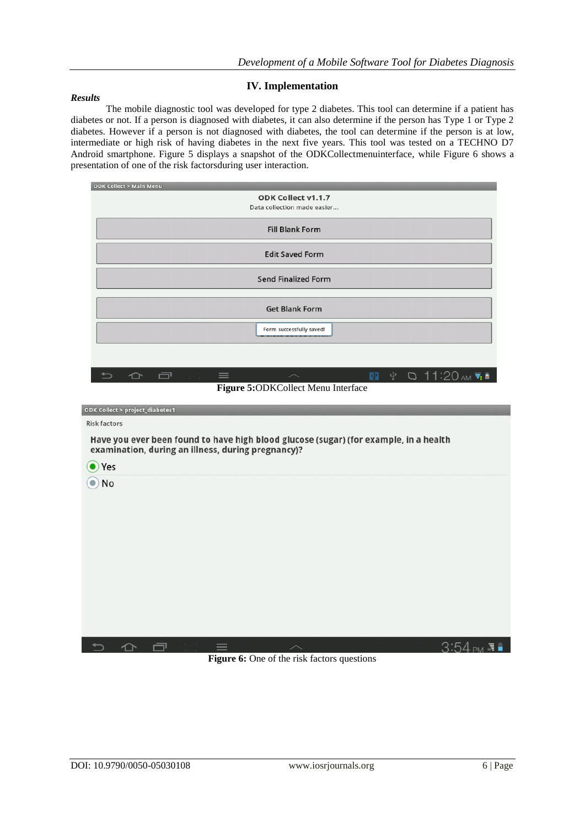# **IV. Implementation**

#### *Results*

The mobile diagnostic tool was developed for type 2 diabetes. This tool can determine if a patient has diabetes or not. If a person is diagnosed with diabetes, it can also determine if the person has Type 1 or Type 2 diabetes. However if a person is not diagnosed with diabetes, the tool can determine if the person is at low, intermediate or high risk of having diabetes in the next five years. This tool was tested on a TECHNO D7 Android smartphone. Figure 5 displays a snapshot of the ODKCollectmenuinterface, while Figure 6 shows a presentation of one of the risk factorsduring user interaction.



**Figure 6:** One of the risk factors questions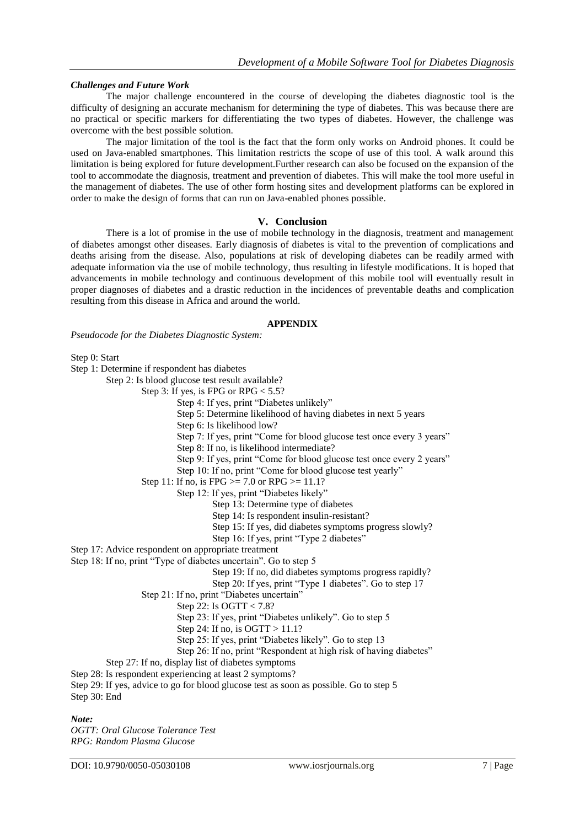## *Challenges and Future Work*

The major challenge encountered in the course of developing the diabetes diagnostic tool is the difficulty of designing an accurate mechanism for determining the type of diabetes. This was because there are no practical or specific markers for differentiating the two types of diabetes. However, the challenge was overcome with the best possible solution.

The major limitation of the tool is the fact that the form only works on Android phones. It could be used on Java-enabled smartphones. This limitation restricts the scope of use of this tool. A walk around this limitation is being explored for future development.Further research can also be focused on the expansion of the tool to accommodate the diagnosis, treatment and prevention of diabetes. This will make the tool more useful in the management of diabetes. The use of other form hosting sites and development platforms can be explored in order to make the design of forms that can run on Java-enabled phones possible.

## **V. Conclusion**

There is a lot of promise in the use of mobile technology in the diagnosis, treatment and management of diabetes amongst other diseases. Early diagnosis of diabetes is vital to the prevention of complications and deaths arising from the disease. Also, populations at risk of developing diabetes can be readily armed with adequate information via the use of mobile technology, thus resulting in lifestyle modifications. It is hoped that advancements in mobile technology and continuous development of this mobile tool will eventually result in proper diagnoses of diabetes and a drastic reduction in the incidences of preventable deaths and complication resulting from this disease in Africa and around the world.

#### **APPENDIX**

*Pseudocode for the Diabetes Diagnostic System:*

Step 0: Start

Step 1: Determine if respondent has diabetes

Step 2: Is blood glucose test result available?

- Step 3: If yes, is FPG or  $RPG < 5.5$ ?
	- Step 4: If yes, print "Diabetes unlikely"
	- Step 5: Determine likelihood of having diabetes in next 5 years
	- Step 6: Is likelihood low?
	- Step 7: If yes, print "Come for blood glucose test once every 3 years"
	- Step 8: If no, is likelihood intermediate?
	- Step 9: If yes, print "Come for blood glucose test once every 2 years"
	- Step 10: If no, print "Come for blood glucose test yearly"
- Step 11: If no, is FPG  $>= 7.0$  or RPG  $>= 11.1$ ?
	- Step 12: If yes, print "Diabetes likely"
		- Step 13: Determine type of diabetes
		- Step 14: Is respondent insulin-resistant?
		- Step 15: If yes, did diabetes symptoms progress slowly?
		- Step 16: If yes, print "Type 2 diabetes"

Step 17: Advice respondent on appropriate treatment

- Step 18: If no, print "Type of diabetes uncertain". Go to step 5
	- Step 19: If no, did diabetes symptoms progress rapidly?

Step 20: If yes, print "Type 1 diabetes". Go to step 17

- Step 21: If no, print "Diabetes uncertain"
	- Step 22: Is OGTT < 7.8?
	- Step 23: If yes, print "Diabetes unlikely". Go to step 5
	- Step 24: If no, is OGTT > 11.1?
	- Step 25: If yes, print "Diabetes likely". Go to step 13

Step 26: If no, print "Respondent at high risk of having diabetes"

- Step 27: If no, display list of diabetes symptoms
- Step 28: Is respondent experiencing at least 2 symptoms?

Step 29: If yes, advice to go for blood glucose test as soon as possible. Go to step 5 Step 30: End

## *Note:*

*OGTT: Oral Glucose Tolerance Test RPG: Random Plasma Glucose*